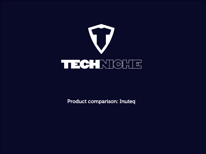

Product comparison: Inuteq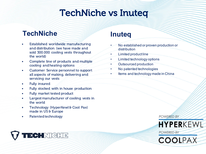# TechNiche vs Inuteq

## **TechNiche**

- Established worldwide manufacturing and distribution (we have made and sold 300.000 cooling vests throughout the world)
- Complete line of products and multiple cooling and heating options
- Customer Service personnel to support all aspects of making, delivering and servicing our vests
- Fully insured
- Fully stocked with in house production
- Fully market tested product
- Largest manufacturer of cooling vests in the world
- Technology (HyperKewl & Cool Pax) made in US & Europe
- Patented technology

#### **Inuteq**

- No established or proven production or distribution
- Limited product line
- Limited technology options
- Outsourced production
- No patented technologies
- Items and technology made in China

**POWERED BY** 



**POWERED BY** 



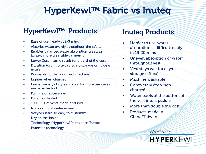# HyperKewl™ Fabric vs Inuteq

## HyperKewl™ Products

- Ease of use, ready in 2-3 mins
- Absorbs water evenly throughout the fabric
- Enables balanced water absorption creating lighter, more wearable garments
- Lower Cost same result for a third of the cost
- Duration (dry in one day)so no storage or mildew issues
- Washable but by brush not machine
- Lighter when charged
- Larger variety of styles, colors for more use cases and a better look
- Full line of accessories
- Fully field tested
- 100,000s of vests made and sold
- No pooling of water in vest
- Very versatile so easy to customize
- Dry on the inside
- Technology (HyperKewl™) made in Europe
- Patented technology

### Inuteq Products

- Harder to use-water absorption is difficult, ready in 15-20 mins
- Uneven absorption of water throughout vest
- Vest stays wet for daysstorage difficult
- Machine washable
- Completely dry when charged
- Water pools at the bottom of the vest into a puddle
- More than double the cost
- Products made in China/Taiwan

**POWERED BY**